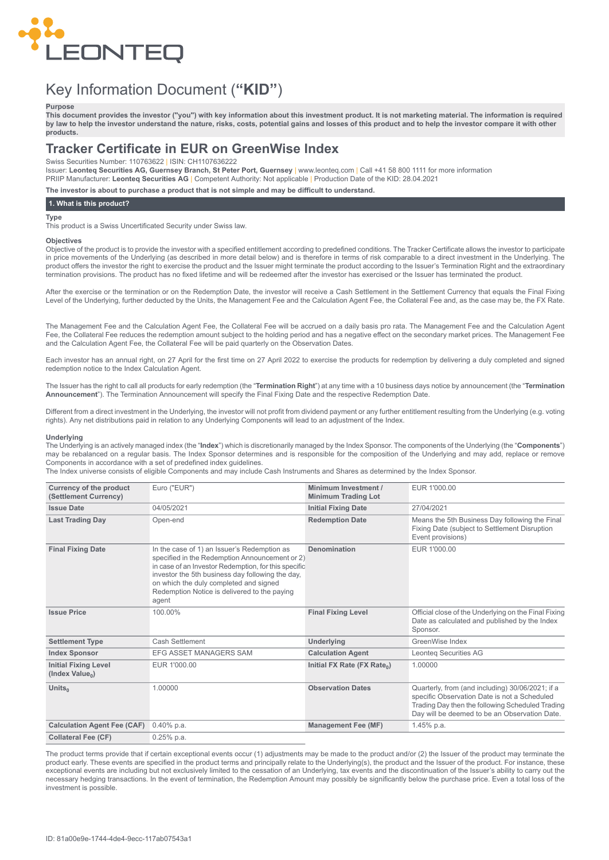

# Key Information Document (**"KID"**)

## **Purpose**

This document provides the investor ("you") with key information about this investment product. It is not marketing material. The information is required by law to help the investor understand the nature, risks, costs, potential gains and losses of this product and to help the investor compare it with other **products.**

# **Tracker Certificate in EUR on GreenWise Index**

Swiss Securities Number: 110763622 | ISIN: CH1107636222

Issuer: **Leonteq Securities AG, Guernsey Branch, St Peter Port, Guernsey** | www.leonteq.com | Call +41 58 800 1111 for more information PRIIP Manufacturer: **Leonteq Securities AG** | Competent Authority: Not applicable | Production Date of the KID: 28.04.2021

**The investor is about to purchase a product that is not simple and may be difficult to understand.**

# **1. What is this product?**

# **Type**

This product is a Swiss Uncertificated Security under Swiss law.

#### **Objectives**

Objective of the product is to provide the investor with a specified entitlement according to predefined conditions. The Tracker Certificate allows the investor to participate in price movements of the Underlying (as described in more detail below) and is therefore in terms of risk comparable to a direct investment in the Underlying. The product offers the investor the right to exercise the product and the Issuer might terminate the product according to the Issuer's Termination Right and the extraordinary termination provisions. The product has no fixed lifetime and will be redeemed after the investor has exercised or the Issuer has terminated the product.

After the exercise or the termination or on the Redemption Date, the investor will receive a Cash Settlement in the Settlement Currency that equals the Final Fixing Level of the Underlying, further deducted by the Units, the Management Fee and the Calculation Agent Fee, the Collateral Fee and, as the case may be, the FX Rate.

The Management Fee and the Calculation Agent Fee, the Collateral Fee will be accrued on a daily basis pro rata. The Management Fee and the Calculation Agent Fee, the Collateral Fee reduces the redemption amount subject to the holding period and has a negative effect on the secondary market prices. The Management Fee and the Calculation Agent Fee, the Collateral Fee will be paid quarterly on the Observation Dates.

Each investor has an annual right, on 27 April for the first time on 27 April 2022 to exercise the products for redemption by delivering a duly completed and signed redemption notice to the Index Calculation Agent.

The Issuer has the right to call all products for early redemption (the "**Termination Right**") at any time with a 10 business days notice by announcement (the "**Termination Announcement**"). The Termination Announcement will specify the Final Fixing Date and the respective Redemption Date.

Different from a direct investment in the Underlying, the investor will not profit from dividend payment or any further entitlement resulting from the Underlying (e.g. voting rights). Any net distributions paid in relation to any Underlying Components will lead to an adjustment of the Index.

## **Underlying**

The Underlying is an actively managed index (the "**Index**") which is discretionarily managed by the Index Sponsor. The components of the Underlying (the "**Components**") may be rebalanced on a regular basis. The Index Sponsor determines and is responsible for the composition of the Underlying and may add, replace or remove Components in accordance with a set of predefined index guidelines.

The Index universe consists of eligible Components and may include Cash Instruments and Shares as determined by the Index Sponsor.

| <b>Currency of the product</b><br>(Settlement Currency)    | Euro ("EUR")                                                                                                                                                                                                                                                                                                 | Minimum Investment /<br><b>Minimum Trading Lot</b> | EUR 1'000.00                                                                                                                                                                                          |
|------------------------------------------------------------|--------------------------------------------------------------------------------------------------------------------------------------------------------------------------------------------------------------------------------------------------------------------------------------------------------------|----------------------------------------------------|-------------------------------------------------------------------------------------------------------------------------------------------------------------------------------------------------------|
| <b>Issue Date</b>                                          | 04/05/2021                                                                                                                                                                                                                                                                                                   | <b>Initial Fixing Date</b>                         | 27/04/2021                                                                                                                                                                                            |
| <b>Last Trading Day</b>                                    | Open-end                                                                                                                                                                                                                                                                                                     | <b>Redemption Date</b>                             | Means the 5th Business Day following the Final<br>Fixing Date (subject to Settlement Disruption<br>Event provisions)                                                                                  |
| <b>Final Fixing Date</b>                                   | In the case of 1) an Issuer's Redemption as<br>specified in the Redemption Announcement or 2)<br>in case of an Investor Redemption, for this specific<br>investor the 5th business day following the day,<br>on which the duly completed and signed<br>Redemption Notice is delivered to the paying<br>agent | Denomination                                       | EUR 1'000.00                                                                                                                                                                                          |
| <b>Issue Price</b>                                         | 100.00%                                                                                                                                                                                                                                                                                                      | <b>Final Fixing Level</b>                          | Official close of the Underlying on the Final Fixing<br>Date as calculated and published by the Index<br>Sponsor.                                                                                     |
| <b>Settlement Type</b>                                     | Cash Settlement                                                                                                                                                                                                                                                                                              | Underlying                                         | GreenWise Index                                                                                                                                                                                       |
| <b>Index Sponsor</b>                                       | <b>EFG ASSET MANAGERS SAM</b>                                                                                                                                                                                                                                                                                | <b>Calculation Agent</b>                           | <b>Leonteg Securities AG</b>                                                                                                                                                                          |
| <b>Initial Fixing Level</b><br>(Index Value <sub>0</sub> ) | EUR 1'000.00                                                                                                                                                                                                                                                                                                 | Initial FX Rate (FX Rate <sub>0</sub> )            | 1.00000                                                                                                                                                                                               |
| Units <sub>0</sub>                                         | 1.00000                                                                                                                                                                                                                                                                                                      | <b>Observation Dates</b>                           | Quarterly, from (and including) 30/06/2021; if a<br>specific Observation Date is not a Scheduled<br>Trading Day then the following Scheduled Trading<br>Day will be deemed to be an Observation Date. |
| <b>Calculation Agent Fee (CAF)</b>                         | $0.40\%$ p.a.                                                                                                                                                                                                                                                                                                | <b>Management Fee (MF)</b>                         | 1.45% p.a.                                                                                                                                                                                            |
| <b>Collateral Fee (CF)</b>                                 | $0.25%$ p.a.                                                                                                                                                                                                                                                                                                 |                                                    |                                                                                                                                                                                                       |

The product terms provide that if certain exceptional events occur (1) adjustments may be made to the product and/or (2) the Issuer of the product may terminate the product early. These events are specified in the product terms and principally relate to the Underlying(s), the product and the Issuer of the product. For instance, these exceptional events are including but not exclusively limited to the cessation of an Underlying, tax events and the discontinuation of the Issuer's ability to carry out the necessary hedging transactions. In the event of termination, the Redemption Amount may possibly be significantly below the purchase price. Even a total loss of the investment is possible.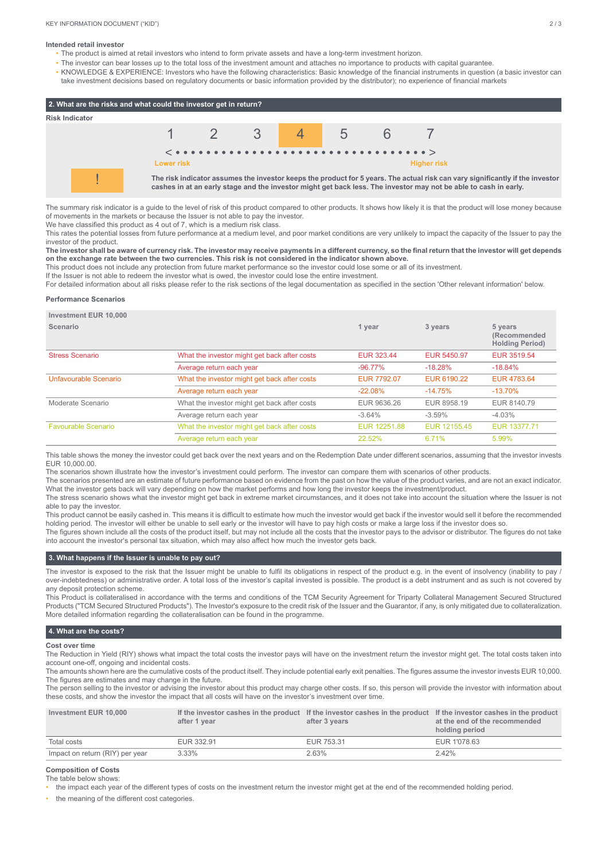#### **Intended retail investor**

- The product is aimed at retail investors who intend to form private assets and have a long-term investment horizon.
- The investor can bear losses up to the total loss of the investment amount and attaches no importance to products with capital guarantee.
- KNOWLEDGE & EXPERIENCE: Investors who have the following characteristics: Basic knowledge of the financial instruments in question (a basic investor can take investment decisions based on regulatory documents or basic information provided by the distributor); no experience of financial markets



The summary risk indicator is a guide to the level of risk of this product compared to other products. It shows how likely it is that the product will lose money because of movements in the markets or because the Issuer is not able to pay the investor.

We have classified this product as 4 out of 7, which is a medium risk class.

This rates the potential losses from future performance at a medium level, and poor market conditions are very unlikely to impact the capacity of the Issuer to pay the investor of the product.

The investor shall be aware of currency risk. The investor may receive payments in a different currency, so the final return that the investor will get depends on the exchange rate between the two currencies. This risk is not considered in the indicator shown above.

This product does not include any protection from future market performance so the investor could lose some or all of its investment.

If the Issuer is not able to redeem the investor what is owed, the investor could lose the entire investment.

For detailed information about all risks please refer to the risk sections of the legal documentation as specified in the section 'Other relevant information' below.

# **Performance Scenarios**

**Investment EUR 10,000**

| $HIVG5UHCHL$ LUN $IVUU$ |                                              |                    |              |                                                   |
|-------------------------|----------------------------------------------|--------------------|--------------|---------------------------------------------------|
| Scenario                |                                              | 1 year             | 3 years      | 5 years<br>(Recommended<br><b>Holding Period)</b> |
| <b>Stress Scenario</b>  | What the investor might get back after costs | <b>EUR 323.44</b>  | EUR 5450.97  | EUR 3519.54                                       |
|                         | Average return each year                     | $-96.77%$          | $-18.28%$    | $-18.84%$                                         |
| Unfavourable Scenario   | What the investor might get back after costs | <b>EUR 7792.07</b> | EUR 6190.22  | EUR 4783.64                                       |
|                         | Average return each year                     | $-22.08%$          | $-14.75%$    | $-13.70%$                                         |
| Moderate Scenario       | What the investor might get back after costs | EUR 9636.26        | EUR 8958.19  | EUR 8140.79                                       |
|                         | Average return each year                     | $-3.64%$           | $-3.59%$     | $-4.03%$                                          |
| Favourable Scenario     | What the investor might get back after costs | EUR 12251.88       | EUR 12155.45 | EUR 13377.71                                      |
|                         | Average return each year                     | 22.52%             | 6.71%        | 5.99%                                             |
|                         |                                              |                    |              |                                                   |

This table shows the money the investor could get back over the next years and on the Redemption Date under different scenarios, assuming that the investor invests EUR 10,000.00.

The scenarios shown illustrate how the investor's investment could perform. The investor can compare them with scenarios of other products.

The scenarios presented are an estimate of future performance based on evidence from the past on how the value of the product varies, and are not an exact indicator. What the investor gets back will vary depending on how the market performs and how long the investor keeps the investment/product.

The stress scenario shows what the investor might get back in extreme market circumstances, and it does not take into account the situation where the Issuer is not able to pay the investor.

This product cannot be easily cashed in. This means it is difficult to estimate how much the investor would get back if the investor would sell it before the recommended holding period. The investor will either be unable to sell early or the investor will have to pay high costs or make a large loss if the investor does so.

The figures shown include all the costs of the product itself, but may not include all the costs that the investor pays to the advisor or distributor. The figures do not take into account the investor's personal tax situation, which may also affect how much the investor gets back.

# **3. What happens if the Issuer is unable to pay out?**

The investor is exposed to the risk that the Issuer might be unable to fulfil its obligations in respect of the product e.g. in the event of insolvency (inability to pay / over-indebtedness) or administrative order. A total loss of the investor's capital invested is possible. The product is a debt instrument and as such is not covered by any deposit protection scheme.

This Product is collateralised in accordance with the terms and conditions of the TCM Security Agreement for Triparty Collateral Management Secured Structured Products ("TCM Secured Structured Products"). The Investor's exposure to the credit risk of the Issuer and the Guarantor, if any, is only mitigated due to collateralization. More detailed information regarding the collateralisation can be found in the programme.

# **4. What are the costs?**

# **Cost over time**

The Reduction in Yield (RIY) shows what impact the total costs the investor pays will have on the investment return the investor might get. The total costs taken into account one-off, ongoing and incidental costs.

The amounts shown here are the cumulative costs of the product itself. They include potential early exit penalties. The figures assume the investor invests EUR 10,000. The figures are estimates and may change in the future.

The person selling to the investor or advising the investor about this product may charge other costs. If so, this person will provide the investor with information about these costs, and show the investor the impact that all costs will have on the investor's investment over time.

| Investment EUR 10,000           | after 1 vear | If the investor cashes in the product If the investor cashes in the product If the investor cashes in the product<br>after 3 vears | at the end of the recommended<br>holding period |
|---------------------------------|--------------|------------------------------------------------------------------------------------------------------------------------------------|-------------------------------------------------|
| Total costs                     | EUR 332.91   | EUR 753.31                                                                                                                         | EUR 1'078.63                                    |
| Impact on return (RIY) per year | 3.33%        | 2.63%                                                                                                                              | 2.42%                                           |

#### **Composition of Costs**

The table below shows:

• the impact each year of the different types of costs on the investment return the investor might get at the end of the recommended holding period.

the meaning of the different cost categories.